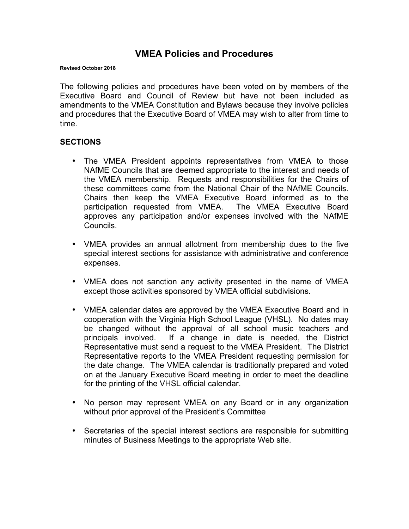# **VMEA Policies and Procedures**

#### **Revised October 2018**

The following policies and procedures have been voted on by members of the Executive Board and Council of Review but have not been included as amendments to the VMEA Constitution and Bylaws because they involve policies and procedures that the Executive Board of VMEA may wish to alter from time to time.

#### **SECTIONS**

- The VMEA President appoints representatives from VMEA to those NAfME Councils that are deemed appropriate to the interest and needs of the VMEA membership. Requests and responsibilities for the Chairs of these committees come from the National Chair of the NAfME Councils. Chairs then keep the VMEA Executive Board informed as to the participation requested from VMEA. The VMEA Executive Board approves any participation and/or expenses involved with the NAfME Councils.
- VMEA provides an annual allotment from membership dues to the five special interest sections for assistance with administrative and conference expenses.
- VMEA does not sanction any activity presented in the name of VMEA except those activities sponsored by VMEA official subdivisions.
- VMEA calendar dates are approved by the VMEA Executive Board and in cooperation with the Virginia High School League (VHSL). No dates may be changed without the approval of all school music teachers and principals involved. If a change in date is needed, the District Representative must send a request to the VMEA President. The District Representative reports to the VMEA President requesting permission for the date change. The VMEA calendar is traditionally prepared and voted on at the January Executive Board meeting in order to meet the deadline for the printing of the VHSL official calendar.
- No person may represent VMEA on any Board or in any organization without prior approval of the President's Committee
- Secretaries of the special interest sections are responsible for submitting minutes of Business Meetings to the appropriate Web site.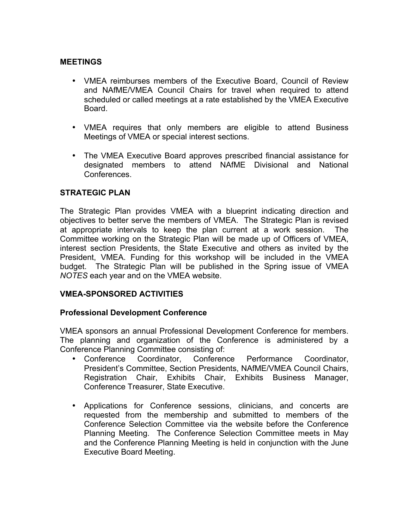#### **MEETINGS**

- VMEA reimburses members of the Executive Board, Council of Review and NAfME/VMEA Council Chairs for travel when required to attend scheduled or called meetings at a rate established by the VMEA Executive Board.
- VMEA requires that only members are eligible to attend Business Meetings of VMEA or special interest sections.
- The VMEA Executive Board approves prescribed financial assistance for designated members to attend NAfME Divisional and National Conferences.

### **STRATEGIC PLAN**

The Strategic Plan provides VMEA with a blueprint indicating direction and objectives to better serve the members of VMEA. The Strategic Plan is revised at appropriate intervals to keep the plan current at a work session. The Committee working on the Strategic Plan will be made up of Officers of VMEA, interest section Presidents, the State Executive and others as invited by the President, VMEA. Funding for this workshop will be included in the VMEA budget. The Strategic Plan will be published in the Spring issue of VMEA *NOTES* each year and on the VMEA website.

#### **VMEA-SPONSORED ACTIVITIES**

#### **Professional Development Conference**

VMEA sponsors an annual Professional Development Conference for members. The planning and organization of the Conference is administered by a Conference Planning Committee consisting of:

- Conference Coordinator, Conference Performance Coordinator, President's Committee, Section Presidents, NAfME/VMEA Council Chairs, Registration Chair, Exhibits Chair, Exhibits Business Manager, Conference Treasurer, State Executive.
- Applications for Conference sessions, clinicians, and concerts are requested from the membership and submitted to members of the Conference Selection Committee via the website before the Conference Planning Meeting. The Conference Selection Committee meets in May and the Conference Planning Meeting is held in conjunction with the June Executive Board Meeting.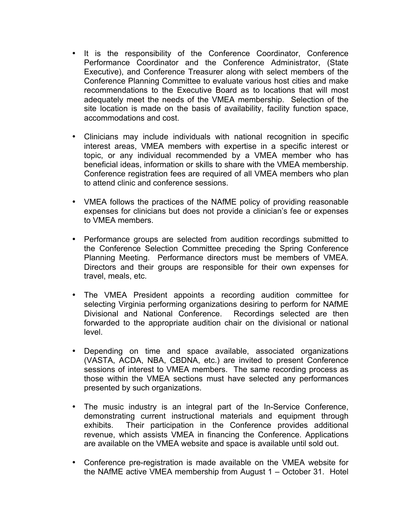- It is the responsibility of the Conference Coordinator, Conference Performance Coordinator and the Conference Administrator, (State Executive), and Conference Treasurer along with select members of the Conference Planning Committee to evaluate various host cities and make recommendations to the Executive Board as to locations that will most adequately meet the needs of the VMEA membership. Selection of the site location is made on the basis of availability, facility function space, accommodations and cost.
- Clinicians may include individuals with national recognition in specific interest areas, VMEA members with expertise in a specific interest or topic, or any individual recommended by a VMEA member who has beneficial ideas, information or skills to share with the VMEA membership. Conference registration fees are required of all VMEA members who plan to attend clinic and conference sessions.
- VMEA follows the practices of the NAfME policy of providing reasonable expenses for clinicians but does not provide a clinician's fee or expenses to VMEA members.
- Performance groups are selected from audition recordings submitted to the Conference Selection Committee preceding the Spring Conference Planning Meeting. Performance directors must be members of VMEA. Directors and their groups are responsible for their own expenses for travel, meals, etc.
- The VMEA President appoints a recording audition committee for selecting Virginia performing organizations desiring to perform for NAfME Divisional and National Conference. Recordings selected are then forwarded to the appropriate audition chair on the divisional or national level.
- Depending on time and space available, associated organizations (VASTA, ACDA, NBA, CBDNA, etc.) are invited to present Conference sessions of interest to VMEA members. The same recording process as those within the VMEA sections must have selected any performances presented by such organizations.
- The music industry is an integral part of the In-Service Conference, demonstrating current instructional materials and equipment through exhibits. Their participation in the Conference provides additional revenue, which assists VMEA in financing the Conference. Applications are available on the VMEA website and space is available until sold out.
- Conference pre-registration is made available on the VMEA website for the NAfME active VMEA membership from August 1 – October 31. Hotel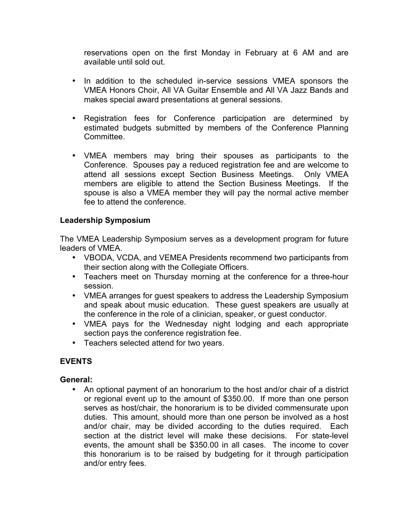reservations open on the first Monday in February at 6 AM and are available until sold out.

- In addition to the scheduled in-service sessions VMEA sponsors the VMEA Honors Choir, All VA Guitar Ensemble and All VA Jazz Bands and makes special award presentations at general sessions.
- Registration fees for Conference participation are determined by estimated budgets submitted by members of the Conference Planning Committee.
- VMEA members may bring their spouses as participants to the Conference. Spouses pay a reduced registration fee and are welcome to attend all sessions except Section Business Meetings. Only VMEA members are eligible to attend the Section Business Meetings. If the spouse is also a VMEA member they will pay the normal active member fee to attend the conference.

### **Leadership Symposium**

The VMEA Leadership Symposium serves as a development program for future leaders of VMEA.

- VBODA, VCDA, and VEMEA Presidents recommend two participants from their section along with the Collegiate Officers.
- Teachers meet on Thursday morning at the conference for a three-hour session.
- VMEA arranges for guest speakers to address the Leadership Symposium and speak about music education. These guest speakers are usually at the conference in the role of a clinician, speaker, or guest conductor.
- VMEA pays for the Wednesday night lodging and each appropriate section pays the conference registration fee.
- Teachers selected attend for two years.

## **EVENTS**

#### **General:**

• An optional payment of an honorarium to the host and/or chair of a district or regional event up to the amount of \$350.00. If more than one person serves as host/chair, the honorarium is to be divided commensurate upon duties. This amount, should more than one person be involved as a host and/or chair, may be divided according to the duties required. Each section at the district level will make these decisions. For state-level events, the amount shall be \$350.00 in all cases. The income to cover this honorarium is to be raised by budgeting for it through participation and/or entry fees.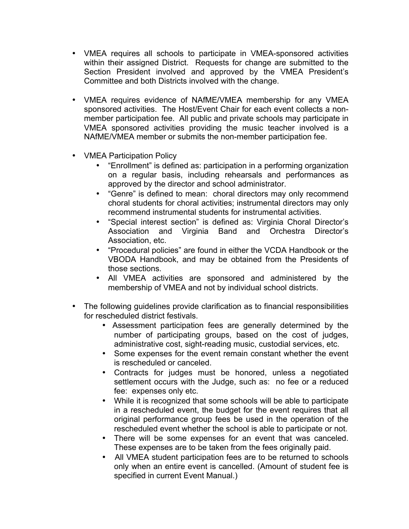- VMEA requires all schools to participate in VMEA-sponsored activities within their assigned District. Requests for change are submitted to the Section President involved and approved by the VMEA President's Committee and both Districts involved with the change.
- VMEA requires evidence of NAfME/VMEA membership for any VMEA sponsored activities. The Host/Event Chair for each event collects a nonmember participation fee. All public and private schools may participate in VMEA sponsored activities providing the music teacher involved is a NAfME/VMEA member or submits the non-member participation fee.
- VMEA Participation Policy
	- "Enrollment" is defined as: participation in a performing organization on a regular basis, including rehearsals and performances as approved by the director and school administrator.
	- "Genre" is defined to mean: choral directors may only recommend choral students for choral activities; instrumental directors may only recommend instrumental students for instrumental activities.
	- "Special interest section" is defined as: Virginia Choral Director's Association and Virginia Band and Orchestra Director's Association, etc.
	- "Procedural policies" are found in either the VCDA Handbook or the VBODA Handbook, and may be obtained from the Presidents of those sections.
	- All VMEA activities are sponsored and administered by the membership of VMEA and not by individual school districts.
- The following guidelines provide clarification as to financial responsibilities for rescheduled district festivals.
	- Assessment participation fees are generally determined by the number of participating groups, based on the cost of judges, administrative cost, sight-reading music, custodial services, etc.
	- Some expenses for the event remain constant whether the event is rescheduled or canceled.
	- Contracts for judges must be honored, unless a negotiated settlement occurs with the Judge, such as: no fee or a reduced fee: expenses only etc.
	- While it is recognized that some schools will be able to participate in a rescheduled event, the budget for the event requires that all original performance group fees be used in the operation of the rescheduled event whether the school is able to participate or not.
	- There will be some expenses for an event that was canceled. These expenses are to be taken from the fees originally paid.
	- All VMEA student participation fees are to be returned to schools only when an entire event is cancelled. (Amount of student fee is specified in current Event Manual.)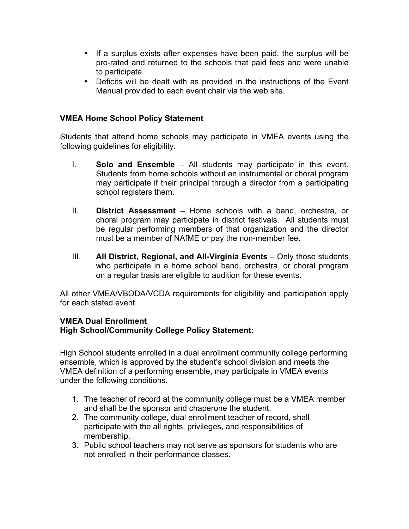- If a surplus exists after expenses have been paid, the surplus will be pro-rated and returned to the schools that paid fees and were unable to participate.
- Deficits will be dealt with as provided in the instructions of the Event Manual provided to each event chair via the web site.

### **VMEA Home School Policy Statement**

Students that attend home schools may participate in VMEA events using the following guidelines for eligibility.

- I. **Solo and Ensemble** All students may participate in this event. Students from home schools without an instrumental or choral program may participate if their principal through a director from a participating school registers them.
- II. **District Assessment** Home schools with a band, orchestra, or choral program may participate in district festivals. All students must be regular performing members of that organization and the director must be a member of NAfME or pay the non-member fee.
- III. **All District, Regional, and All-Virginia Events**  Only those students who participate in a home school band, orchestra, or choral program on a regular basis are eligible to audition for these events.

All other VMEA/VBODA/VCDA requirements for eligibility and participation apply for each stated event.

#### **VMEA Dual Enrollment High School/Community College Policy Statement:**

High School students enrolled in a dual enrollment community college performing ensemble, which is approved by the student's school division and meets the VMEA definition of a performing ensemble, may participate in VMEA events under the following conditions.

- 1. The teacher of record at the community college must be a VMEA member and shall be the sponsor and chaperone the student.
- 2. The community college, dual enrollment teacher of record, shall participate with the all rights, privileges, and responsibilities of membership.
- 3. Public school teachers may not serve as sponsors for students who are not enrolled in their performance classes.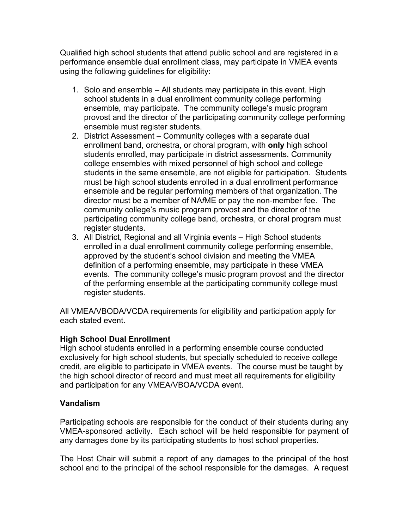Qualified high school students that attend public school and are registered in a performance ensemble dual enrollment class, may participate in VMEA events using the following guidelines for eligibility:

- 1. Solo and ensemble All students may participate in this event. High school students in a dual enrollment community college performing ensemble, may participate. The community college's music program provost and the director of the participating community college performing ensemble must register students.
- 2. District Assessment Community colleges with a separate dual enrollment band, orchestra, or choral program, with **only** high school students enrolled, may participate in district assessments. Community college ensembles with mixed personnel of high school and college students in the same ensemble, are not eligible for participation. Students must be high school students enrolled in a dual enrollment performance ensemble and be regular performing members of that organization. The director must be a member of NA*f*ME or pay the non-member fee. The community college's music program provost and the director of the participating community college band, orchestra, or choral program must register students.
- 3. All District, Regional and all Virginia events High School students enrolled in a dual enrollment community college performing ensemble, approved by the student's school division and meeting the VMEA definition of a performing ensemble, may participate in these VMEA events. The community college's music program provost and the director of the performing ensemble at the participating community college must register students.

All VMEA/VBODA/VCDA requirements for eligibility and participation apply for each stated event.

## **High School Dual Enrollment**

High school students enrolled in a performing ensemble course conducted exclusively for high school students, but specially scheduled to receive college credit, are eligible to participate in VMEA events. The course must be taught by the high school director of record and must meet all requirements for eligibility and participation for any VMEA/VBOA/VCDA event.

#### **Vandalism**

Participating schools are responsible for the conduct of their students during any VMEA-sponsored activity. Each school will be held responsible for payment of any damages done by its participating students to host school properties.

The Host Chair will submit a report of any damages to the principal of the host school and to the principal of the school responsible for the damages. A request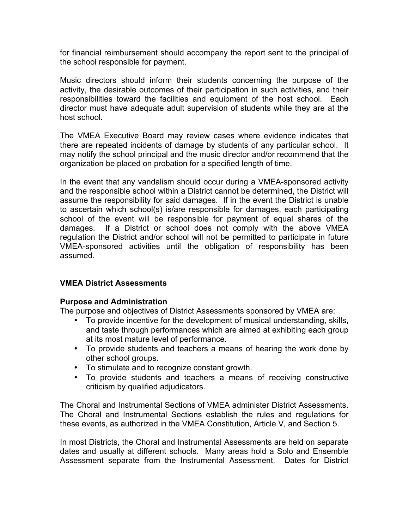for financial reimbursement should accompany the report sent to the principal of the school responsible for payment.

Music directors should inform their students concerning the purpose of the activity, the desirable outcomes of their participation in such activities, and their responsibilities toward the facilities and equipment of the host school. Each director must have adequate adult supervision of students while they are at the host school.

The VMEA Executive Board may review cases where evidence indicates that there are repeated incidents of damage by students of any particular school. It may notify the school principal and the music director and/or recommend that the organization be placed on probation for a specified length of time.

In the event that any vandalism should occur during a VMEA-sponsored activity and the responsible school within a District cannot be determined, the District will assume the responsibility for said damages. If in the event the District is unable to ascertain which school(s) is/are responsible for damages, each participating school of the event will be responsible for payment of equal shares of the damages. If a District or school does not comply with the above VMEA regulation the District and/or school will not be permitted to participate in future VMEA-sponsored activities until the obligation of responsibility has been assumed.

#### **VMEA District Assessments**

#### **Purpose and Administration**

The purpose and objectives of District Assessments sponsored by VMEA are:

- To provide incentive for the development of musical understanding, skills, and taste through performances which are aimed at exhibiting each group at its most mature level of performance.
- To provide students and teachers a means of hearing the work done by other school groups.
- To stimulate and to recognize constant growth.
- To provide students and teachers a means of receiving constructive criticism by qualified adjudicators.

The Choral and Instrumental Sections of VMEA administer District Assessments. The Choral and Instrumental Sections establish the rules and regulations for these events, as authorized in the VMEA Constitution, Article V, and Section 5.

In most Districts, the Choral and Instrumental Assessments are held on separate dates and usually at different schools. Many areas hold a Solo and Ensemble Assessment separate from the Instrumental Assessment. Dates for District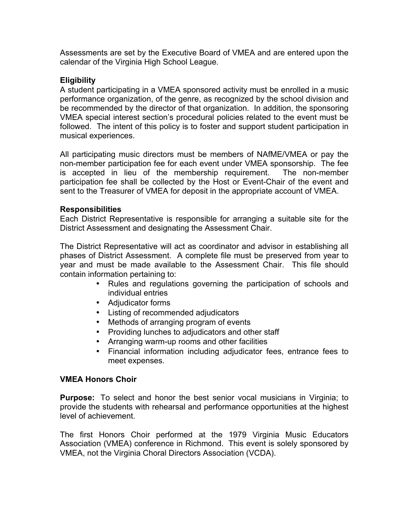Assessments are set by the Executive Board of VMEA and are entered upon the calendar of the Virginia High School League.

### **Eligibility**

A student participating in a VMEA sponsored activity must be enrolled in a music performance organization, of the genre, as recognized by the school division and be recommended by the director of that organization. In addition, the sponsoring VMEA special interest section's procedural policies related to the event must be followed. The intent of this policy is to foster and support student participation in musical experiences.

All participating music directors must be members of NAfME/VMEA or pay the non-member participation fee for each event under VMEA sponsorship. The fee is accepted in lieu of the membership requirement. The non-member participation fee shall be collected by the Host or Event-Chair of the event and sent to the Treasurer of VMEA for deposit in the appropriate account of VMEA.

#### **Responsibilities**

Each District Representative is responsible for arranging a suitable site for the District Assessment and designating the Assessment Chair.

The District Representative will act as coordinator and advisor in establishing all phases of District Assessment. A complete file must be preserved from year to year and must be made available to the Assessment Chair. This file should contain information pertaining to:

- Rules and regulations governing the participation of schools and individual entries
- Adjudicator forms
- Listing of recommended adjudicators
- Methods of arranging program of events
- Providing lunches to adjudicators and other staff
- Arranging warm-up rooms and other facilities
- Financial information including adjudicator fees, entrance fees to meet expenses.

#### **VMEA Honors Choir**

**Purpose:** To select and honor the best senior vocal musicians in Virginia; to provide the students with rehearsal and performance opportunities at the highest level of achievement.

The first Honors Choir performed at the 1979 Virginia Music Educators Association (VMEA) conference in Richmond. This event is solely sponsored by VMEA, not the Virginia Choral Directors Association (VCDA).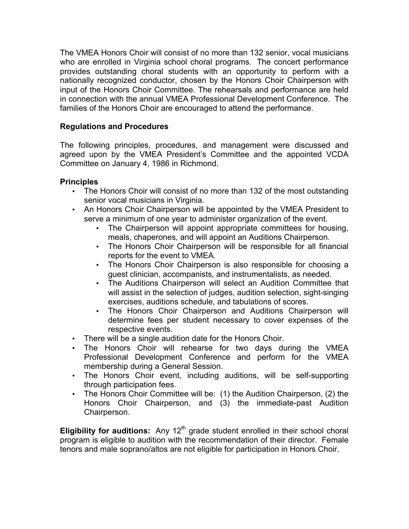The VMEA Honors Choir will consist of no more than 132 senior, vocal musicians who are enrolled in Virginia school choral programs. The concert performance provides outstanding choral students with an opportunity to perform with a nationally recognized conductor, chosen by the Honors Choir Chairperson with input of the Honors Choir Committee. The rehearsals and performance are held in connection with the annual VMEA Professional Development Conference. The families of the Honors Choir are encouraged to attend the performance.

## **Regulations and Procedures**

The following principles, procedures, and management were discussed and agreed upon by the VMEA President's Committee and the appointed VCDA Committee on January 4, 1986 in Richmond.

#### **Principles**

- The Honors Choir will consist of no more than 132 of the most outstanding senior vocal musicians in Virginia.
- An Honors Choir Chairperson will be appointed by the VMEA President to serve a minimum of one year to administer organization of the event.
	- The Chairperson will appoint appropriate committees for housing, meals, chaperones, and will appoint an Auditions Chairperson.
	- The Honors Choir Chairperson will be responsible for all financial reports for the event to VMEA.
	- The Honors Choir Chairperson is also responsible for choosing a guest clinician, accompanists, and instrumentalists, as needed.
	- The Auditions Chairperson will select an Audition Committee that will assist in the selection of judges, audition selection, sight-singing exercises, auditions schedule, and tabulations of scores.
	- The Honors Choir Chairperson and Auditions Chairperson will determine fees per student necessary to cover expenses of the respective events.
- There will be a single audition date for the Honors Choir.
- The Honors Choir will rehearse for two days during the VMEA Professional Development Conference and perform for the VMEA membership during a General Session.
- The Honors Choir event, including auditions, will be self-supporting through participation fees.
- The Honors Choir Committee will be: (1) the Audition Chairperson, (2) the Honors Choir Chairperson, and (3) the immediate-past Audition Chairperson.

**Eligibility for auditions:** Any 12<sup>th</sup> grade student enrolled in their school choral program is eligible to audition with the recommendation of their director. Female tenors and male soprano/altos are not eligible for participation in Honors Choir.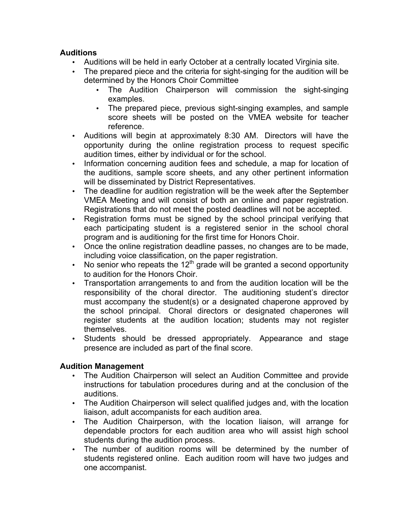### **Auditions**

- Auditions will be held in early October at a centrally located Virginia site.
- The prepared piece and the criteria for sight-singing for the audition will be determined by the Honors Choir Committee
	- The Audition Chairperson will commission the sight-singing examples.
	- The prepared piece, previous sight-singing examples, and sample score sheets will be posted on the VMEA website for teacher reference.
- Auditions will begin at approximately 8:30 AM. Directors will have the opportunity during the online registration process to request specific audition times, either by individual or for the school.
- Information concerning audition fees and schedule, a map for location of the auditions, sample score sheets, and any other pertinent information will be disseminated by District Representatives.
- The deadline for audition registration will be the week after the September VMEA Meeting and will consist of both an online and paper registration. Registrations that do not meet the posted deadlines will not be accepted.
- Registration forms must be signed by the school principal verifying that each participating student is a registered senior in the school choral program and is auditioning for the first time for Honors Choir.
- Once the online registration deadline passes, no changes are to be made, including voice classification, on the paper registration.
- No senior who repeats the  $12<sup>th</sup>$  grade will be granted a second opportunity to audition for the Honors Choir.
- Transportation arrangements to and from the audition location will be the responsibility of the choral director. The auditioning student's director must accompany the student(s) or a designated chaperone approved by the school principal. Choral directors or designated chaperones will register students at the audition location; students may not register themselves.
- Students should be dressed appropriately. Appearance and stage presence are included as part of the final score.

## **Audition Management**

- The Audition Chairperson will select an Audition Committee and provide instructions for tabulation procedures during and at the conclusion of the auditions.
- The Audition Chairperson will select qualified judges and, with the location liaison, adult accompanists for each audition area.
- The Audition Chairperson, with the location liaison, will arrange for dependable proctors for each audition area who will assist high school students during the audition process.
- The number of audition rooms will be determined by the number of students registered online. Each audition room will have two judges and one accompanist.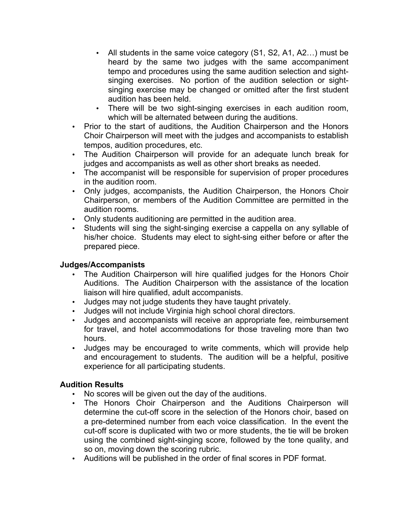- All students in the same voice category (S1, S2, A1, A2…) must be heard by the same two judges with the same accompaniment tempo and procedures using the same audition selection and sightsinging exercises. No portion of the audition selection or sightsinging exercise may be changed or omitted after the first student audition has been held.
- There will be two sight-singing exercises in each audition room, which will be alternated between during the auditions.
- Prior to the start of auditions, the Audition Chairperson and the Honors Choir Chairperson will meet with the judges and accompanists to establish tempos, audition procedures, etc.
- The Audition Chairperson will provide for an adequate lunch break for judges and accompanists as well as other short breaks as needed.
- The accompanist will be responsible for supervision of proper procedures in the audition room.
- Only judges, accompanists, the Audition Chairperson, the Honors Choir Chairperson, or members of the Audition Committee are permitted in the audition rooms.
- Only students auditioning are permitted in the audition area.
- Students will sing the sight-singing exercise a cappella on any syllable of his/her choice. Students may elect to sight-sing either before or after the prepared piece.

## **Judges/Accompanists**

- The Audition Chairperson will hire qualified judges for the Honors Choir Auditions. The Audition Chairperson with the assistance of the location liaison will hire qualified, adult accompanists.
- Judges may not judge students they have taught privately.
- Judges will not include Virginia high school choral directors.
- Judges and accompanists will receive an appropriate fee, reimbursement for travel, and hotel accommodations for those traveling more than two hours.
- Judges may be encouraged to write comments, which will provide help and encouragement to students. The audition will be a helpful, positive experience for all participating students.

## **Audition Results**

- No scores will be given out the day of the auditions.
- The Honors Choir Chairperson and the Auditions Chairperson will determine the cut-off score in the selection of the Honors choir, based on a pre-determined number from each voice classification. In the event the cut-off score is duplicated with two or more students, the tie will be broken using the combined sight-singing score, followed by the tone quality, and so on, moving down the scoring rubric.
- Auditions will be published in the order of final scores in PDF format.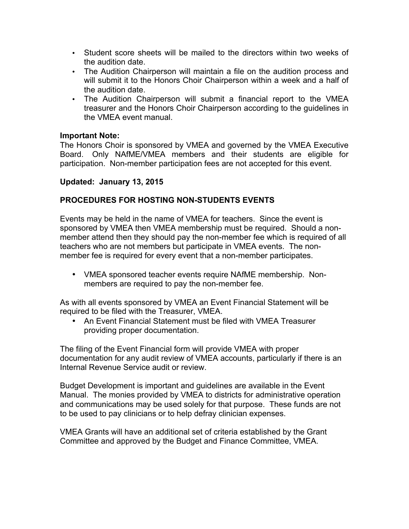- Student score sheets will be mailed to the directors within two weeks of the audition date.
- The Audition Chairperson will maintain a file on the audition process and will submit it to the Honors Choir Chairperson within a week and a half of the audition date.
- The Audition Chairperson will submit a financial report to the VMEA treasurer and the Honors Choir Chairperson according to the guidelines in the VMEA event manual.

#### **Important Note:**

The Honors Choir is sponsored by VMEA and governed by the VMEA Executive Board. Only NAfME/VMEA members and their students are eligible for participation. Non-member participation fees are not accepted for this event.

#### **Updated: January 13, 2015**

### **PROCEDURES FOR HOSTING NON-STUDENTS EVENTS**

Events may be held in the name of VMEA for teachers. Since the event is sponsored by VMEA then VMEA membership must be required. Should a nonmember attend then they should pay the non-member fee which is required of all teachers who are not members but participate in VMEA events. The nonmember fee is required for every event that a non-member participates.

• VMEA sponsored teacher events require NAfME membership. Nonmembers are required to pay the non-member fee.

As with all events sponsored by VMEA an Event Financial Statement will be required to be filed with the Treasurer, VMEA.

• An Event Financial Statement must be filed with VMEA Treasurer providing proper documentation.

The filing of the Event Financial form will provide VMEA with proper documentation for any audit review of VMEA accounts, particularly if there is an Internal Revenue Service audit or review.

Budget Development is important and guidelines are available in the Event Manual. The monies provided by VMEA to districts for administrative operation and communications may be used solely for that purpose. These funds are not to be used to pay clinicians or to help defray clinician expenses.

VMEA Grants will have an additional set of criteria established by the Grant Committee and approved by the Budget and Finance Committee, VMEA.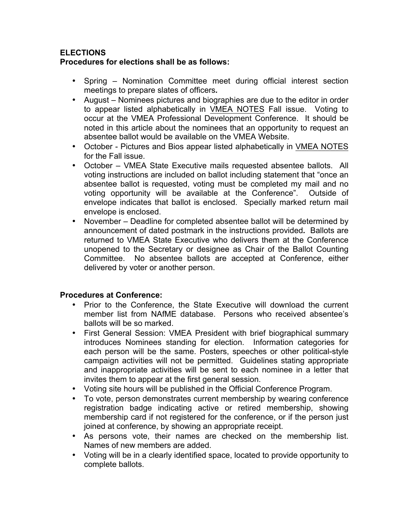#### **ELECTIONS Procedures for elections shall be as follows:**

- Spring Nomination Committee meet during official interest section meetings to prepare slates of officers*.*
- August Nominees pictures and biographies are due to the editor in order to appear listed alphabetically in VMEA NOTES Fall issue. Voting to occur at the VMEA Professional Development Conference. It should be noted in this article about the nominees that an opportunity to request an absentee ballot would be available on the VMEA Website.
- October Pictures and Bios appear listed alphabetically in VMEA NOTES for the Fall issue.
- October VMEA State Executive mails requested absentee ballots. All voting instructions are included on ballot including statement that "once an absentee ballot is requested, voting must be completed my mail and no voting opportunity will be available at the Conference". Outside of envelope indicates that ballot is enclosed. Specially marked return mail envelope is enclosed.
- November Deadline for completed absentee ballot will be determined by announcement of dated postmark in the instructions provided*.* Ballots are returned to VMEA State Executive who delivers them at the Conference unopened to the Secretary or designee as Chair of the Ballot Counting Committee. No absentee ballots are accepted at Conference, either delivered by voter or another person.

## **Procedures at Conference:**

- Prior to the Conference, the State Executive will download the current member list from NAfME database. Persons who received absentee's ballots will be so marked.
- First General Session: VMEA President with brief biographical summary introduces Nominees standing for election. Information categories for each person will be the same. Posters, speeches or other political-style campaign activities will not be permitted. Guidelines stating appropriate and inappropriate activities will be sent to each nominee in a letter that invites them to appear at the first general session.
- Voting site hours will be published in the Official Conference Program.
- To vote, person demonstrates current membership by wearing conference registration badge indicating active or retired membership, showing membership card if not registered for the conference, or if the person just joined at conference, by showing an appropriate receipt.
- As persons vote, their names are checked on the membership list. Names of new members are added.
- Voting will be in a clearly identified space, located to provide opportunity to complete ballots.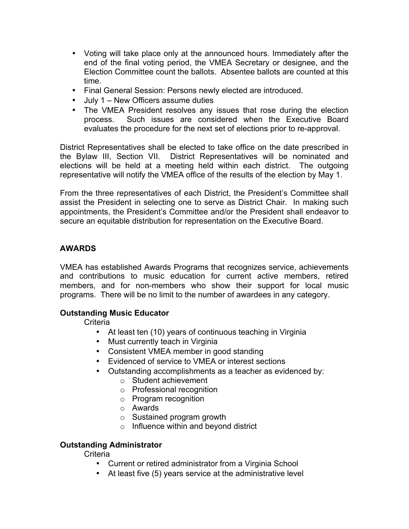- Voting will take place only at the announced hours. Immediately after the end of the final voting period, the VMEA Secretary or designee, and the Election Committee count the ballots. Absentee ballots are counted at this time.
- Final General Session: Persons newly elected are introduced.
- July 1 New Officers assume duties
- The VMEA President resolves any issues that rose during the election process. Such issues are considered when the Executive Board evaluates the procedure for the next set of elections prior to re-approval.

District Representatives shall be elected to take office on the date prescribed in the Bylaw III, Section VII. District Representatives will be nominated and elections will be held at a meeting held within each district. The outgoing representative will notify the VMEA office of the results of the election by May 1.

From the three representatives of each District, the President's Committee shall assist the President in selecting one to serve as District Chair. In making such appointments, the President's Committee and/or the President shall endeavor to secure an equitable distribution for representation on the Executive Board.

### **AWARDS**

VMEA has established Awards Programs that recognizes service, achievements and contributions to music education for current active members, retired members, and for non-members who show their support for local music programs. There will be no limit to the number of awardees in any category.

#### **Outstanding Music Educator**

**Criteria** 

- At least ten (10) years of continuous teaching in Virginia
- Must currently teach in Virginia
- Consistent VMEA member in good standing
- Evidenced of service to VMEA or interest sections
- Outstanding accomplishments as a teacher as evidenced by:
	- o Student achievement
	- o Professional recognition
	- o Program recognition
	- o Awards
	- $\circ$  Sustained program growth
	- o Influence within and beyond district

## **Outstanding Administrator**

**Criteria** 

- Current or retired administrator from a Virginia School
- At least five (5) years service at the administrative level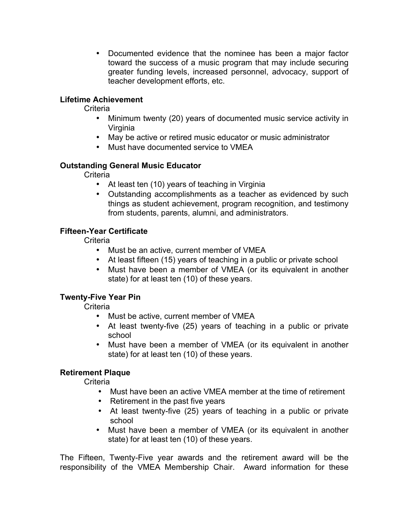• Documented evidence that the nominee has been a major factor toward the success of a music program that may include securing greater funding levels, increased personnel, advocacy, support of teacher development efforts, etc.

### **Lifetime Achievement**

**Criteria** 

- Minimum twenty (20) years of documented music service activity in Virginia
- May be active or retired music educator or music administrator
- Must have documented service to VMEA

#### **Outstanding General Music Educator**

**Criteria** 

- At least ten (10) years of teaching in Virginia
- Outstanding accomplishments as a teacher as evidenced by such things as student achievement, program recognition, and testimony from students, parents, alumni, and administrators.

### **Fifteen-Year Certificate**

**Criteria** 

- Must be an active, current member of VMEA
- At least fifteen (15) years of teaching in a public or private school
- Must have been a member of VMEA (or its equivalent in another state) for at least ten (10) of these years.

## **Twenty-Five Year Pin**

**Criteria** 

- Must be active, current member of VMEA
- At least twenty-five (25) years of teaching in a public or private school
- Must have been a member of VMEA (or its equivalent in another state) for at least ten (10) of these years.

## **Retirement Plaque**

**Criteria** 

- Must have been an active VMEA member at the time of retirement
- Retirement in the past five years
- At least twenty-five (25) years of teaching in a public or private school
- Must have been a member of VMEA (or its equivalent in another state) for at least ten (10) of these years.

The Fifteen, Twenty-Five year awards and the retirement award will be the responsibility of the VMEA Membership Chair. Award information for these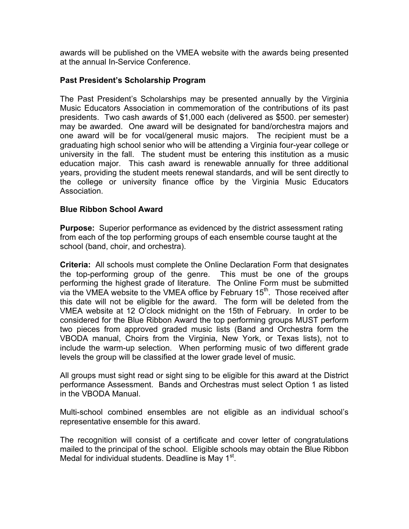awards will be published on the VMEA website with the awards being presented at the annual In-Service Conference.

#### **Past President's Scholarship Program**

The Past President's Scholarships may be presented annually by the Virginia Music Educators Association in commemoration of the contributions of its past presidents. Two cash awards of \$1,000 each (delivered as \$500. per semester) may be awarded. One award will be designated for band/orchestra majors and one award will be for vocal/general music majors. The recipient must be a graduating high school senior who will be attending a Virginia four-year college or university in the fall. The student must be entering this institution as a music education major. This cash award is renewable annually for three additional years, providing the student meets renewal standards, and will be sent directly to the college or university finance office by the Virginia Music Educators Association.

#### **Blue Ribbon School Award**

**Purpose:** Superior performance as evidenced by the district assessment rating from each of the top performing groups of each ensemble course taught at the school (band, choir, and orchestra).

**Criteria:** All schools must complete the Online Declaration Form that designates the top-performing group of the genre. This must be one of the groups performing the highest grade of literature. The Online Form must be submitted via the VMEA website to the VMEA office by February  $15<sup>th</sup>$ . Those received after this date will not be eligible for the award. The form will be deleted from the VMEA website at 12 O'clock midnight on the 15th of February. In order to be considered for the Blue Ribbon Award the top performing groups MUST perform two pieces from approved graded music lists (Band and Orchestra form the VBODA manual, Choirs from the Virginia, New York, or Texas lists), not to include the warm-up selection. When performing music of two different grade levels the group will be classified at the lower grade level of music.

All groups must sight read or sight sing to be eligible for this award at the District performance Assessment. Bands and Orchestras must select Option 1 as listed in the VBODA Manual.

Multi-school combined ensembles are not eligible as an individual school's representative ensemble for this award.

The recognition will consist of a certificate and cover letter of congratulations mailed to the principal of the school. Eligible schools may obtain the Blue Ribbon Medal for individual students. Deadline is May 1<sup>st</sup>.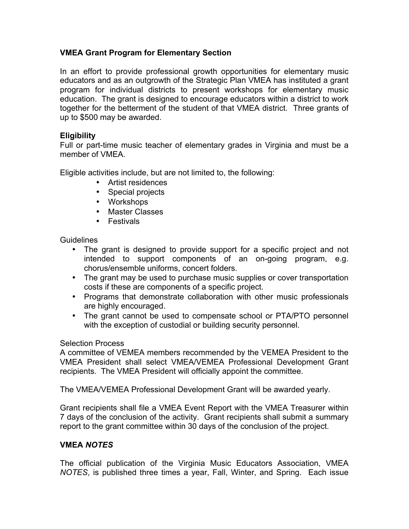### **VMEA Grant Program for Elementary Section**

In an effort to provide professional growth opportunities for elementary music educators and as an outgrowth of the Strategic Plan VMEA has instituted a grant program for individual districts to present workshops for elementary music education. The grant is designed to encourage educators within a district to work together for the betterment of the student of that VMEA district. Three grants of up to \$500 may be awarded.

### **Eligibility**

Full or part-time music teacher of elementary grades in Virginia and must be a member of VMEA.

Eligible activities include, but are not limited to, the following:

- Artist residences
- Special projects
- Workshops
- Master Classes
- Festivals

Guidelines

- The grant is designed to provide support for a specific project and not intended to support components of an on-going program, e.g. chorus/ensemble uniforms, concert folders.
- The grant may be used to purchase music supplies or cover transportation costs if these are components of a specific project.
- Programs that demonstrate collaboration with other music professionals are highly encouraged.
- The grant cannot be used to compensate school or PTA/PTO personnel with the exception of custodial or building security personnel.

#### Selection Process

A committee of VEMEA members recommended by the VEMEA President to the VMEA President shall select VMEA/VEMEA Professional Development Grant recipients. The VMEA President will officially appoint the committee.

The VMEA/VEMEA Professional Development Grant will be awarded yearly.

Grant recipients shall file a VMEA Event Report with the VMEA Treasurer within 7 days of the conclusion of the activity. Grant recipients shall submit a summary report to the grant committee within 30 days of the conclusion of the project.

## **VMEA** *NOTES*

The official publication of the Virginia Music Educators Association, VMEA *NOTES*, is published three times a year, Fall, Winter, and Spring. Each issue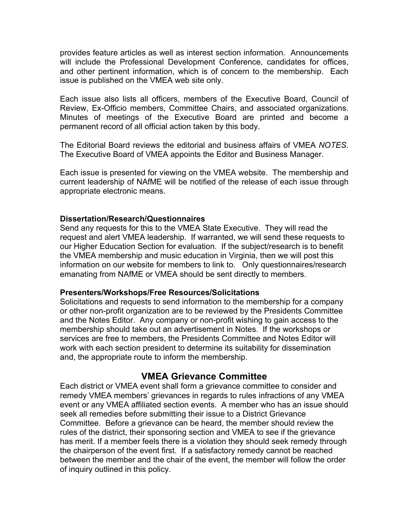provides feature articles as well as interest section information. Announcements will include the Professional Development Conference, candidates for offices, and other pertinent information, which is of concern to the membership. Each issue is published on the VMEA web site only.

Each issue also lists all officers, members of the Executive Board, Council of Review, Ex-Officio members, Committee Chairs, and associated organizations. Minutes of meetings of the Executive Board are printed and become a permanent record of all official action taken by this body.

The Editorial Board reviews the editorial and business affairs of VMEA *NOTES*. The Executive Board of VMEA appoints the Editor and Business Manager.

Each issue is presented for viewing on the VMEA website. The membership and current leadership of NAfME will be notified of the release of each issue through appropriate electronic means.

#### **Dissertation/Research/Questionnaires**

Send any requests for this to the VMEA State Executive. They will read the request and alert VMEA leadership. If warranted, we will send these requests to our Higher Education Section for evaluation. If the subject/research is to benefit the VMEA membership and music education in Virginia, then we will post this information on our website for members to link to. Only questionnaires/research emanating from NAfME or VMEA should be sent directly to members.

#### **Presenters/Workshops/Free Resources/Solicitations**

Solicitations and requests to send information to the membership for a company or other non-profit organization are to be reviewed by the Presidents Committee and the Notes Editor. Any company or non-profit wishing to gain access to the membership should take out an advertisement in Notes. If the workshops or services are free to members, the Presidents Committee and Notes Editor will work with each section president to determine its suitability for dissemination and, the appropriate route to inform the membership.

## **VMEA Grievance Committee**

Each district or VMEA event shall form a grievance committee to consider and remedy VMEA members' grievances in regards to rules infractions of any VMEA event or any VMEA affiliated section events. A member who has an issue should seek all remedies before submitting their issue to a District Grievance Committee. Before a grievance can be heard, the member should review the rules of the district, their sponsoring section and VMEA to see if the grievance has merit. If a member feels there is a violation they should seek remedy through the chairperson of the event first. If a satisfactory remedy cannot be reached between the member and the chair of the event, the member will follow the order of inquiry outlined in this policy.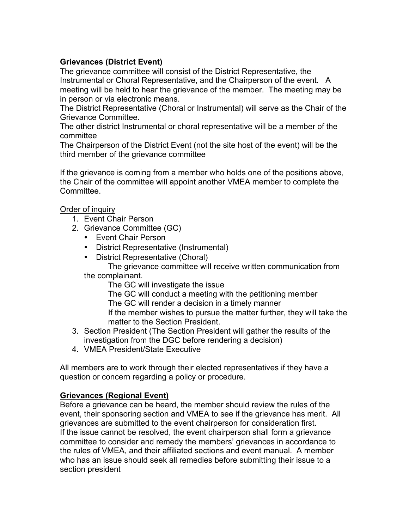# **Grievances (District Event)**

The grievance committee will consist of the District Representative, the Instrumental or Choral Representative, and the Chairperson of the event. A meeting will be held to hear the grievance of the member. The meeting may be in person or via electronic means.

The District Representative (Choral or Instrumental) will serve as the Chair of the Grievance Committee.

The other district Instrumental or choral representative will be a member of the committee

The Chairperson of the District Event (not the site host of the event) will be the third member of the grievance committee

If the grievance is coming from a member who holds one of the positions above, the Chair of the committee will appoint another VMEA member to complete the Committee.

Order of inquiry

- 1. Event Chair Person
- 2. Grievance Committee (GC)
	- Event Chair Person
	- District Representative (Instrumental)
	- District Representative (Choral)

The grievance committee will receive written communication from the complainant.

The GC will investigate the issue

The GC will conduct a meeting with the petitioning member

The GC will render a decision in a timely manner

If the member wishes to pursue the matter further, they will take the matter to the Section President.

- 3. Section President (The Section President will gather the results of the investigation from the DGC before rendering a decision)
- 4. VMEA President/State Executive

All members are to work through their elected representatives if they have a question or concern regarding a policy or procedure.

#### **Grievances (Regional Event)**

Before a grievance can be heard, the member should review the rules of the event, their sponsoring section and VMEA to see if the grievance has merit. All grievances are submitted to the event chairperson for consideration first. If the issue cannot be resolved, the event chairperson shall form a grievance committee to consider and remedy the members' grievances in accordance to the rules of VMEA, and their affiliated sections and event manual. A member who has an issue should seek all remedies before submitting their issue to a section president